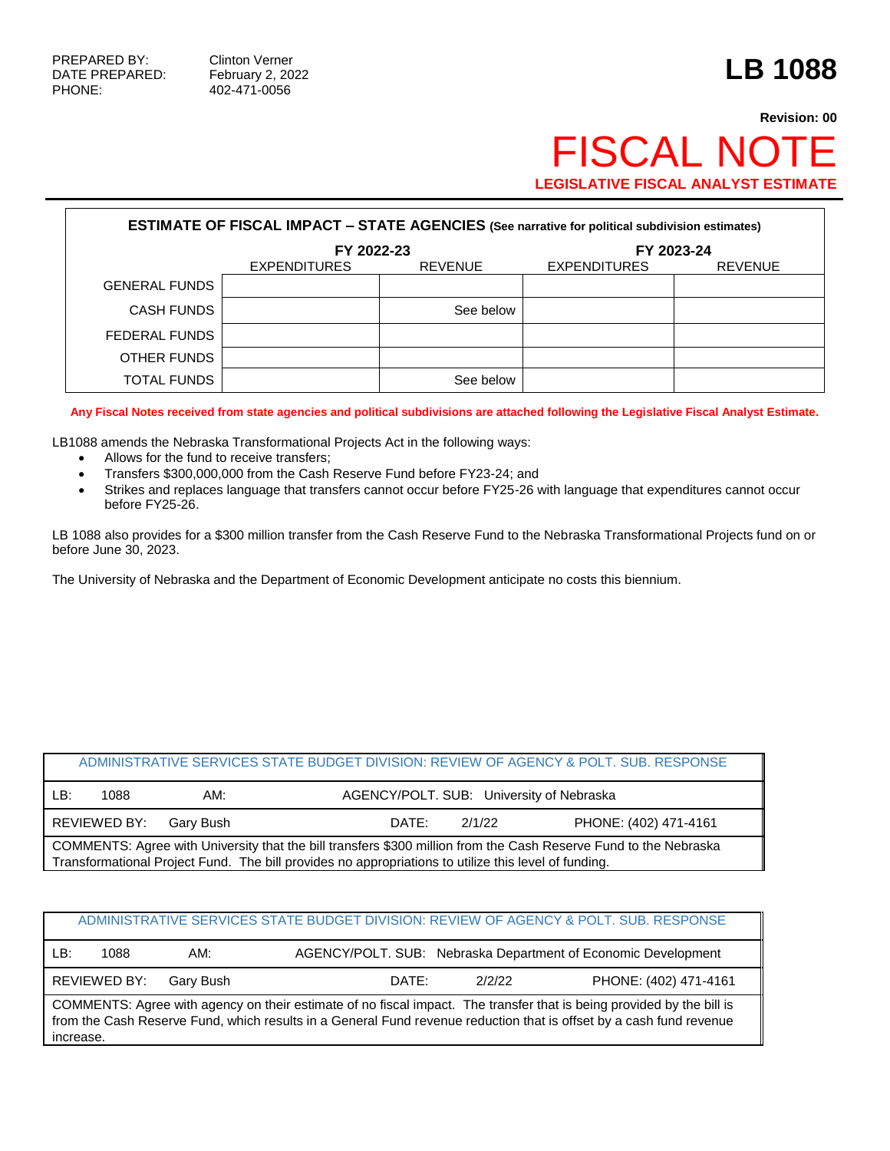PHONE: 402-471-0056

## **Revision: 00** FISCAL NOTE **LEGISLATIVE FISCAL ANALYST ESTIMATE**

| <b>ESTIMATE OF FISCAL IMPACT - STATE AGENCIES (See narrative for political subdivision estimates)</b> |                                       |           |                     |                |  |  |
|-------------------------------------------------------------------------------------------------------|---------------------------------------|-----------|---------------------|----------------|--|--|
|                                                                                                       | FY 2022-23                            |           | FY 2023-24          |                |  |  |
|                                                                                                       | <b>EXPENDITURES</b><br><b>REVENUE</b> |           | <b>EXPENDITURES</b> | <b>REVENUE</b> |  |  |
| <b>GENERAL FUNDS</b>                                                                                  |                                       |           |                     |                |  |  |
| <b>CASH FUNDS</b>                                                                                     |                                       | See below |                     |                |  |  |
| FEDERAL FUNDS                                                                                         |                                       |           |                     |                |  |  |
| OTHER FUNDS                                                                                           |                                       |           |                     |                |  |  |
| TOTAL FUNDS                                                                                           |                                       | See below |                     |                |  |  |

**Any Fiscal Notes received from state agencies and political subdivisions are attached following the Legislative Fiscal Analyst Estimate.**

LB1088 amends the Nebraska Transformational Projects Act in the following ways:

- Allows for the fund to receive transfers;
- Transfers \$300,000,000 from the Cash Reserve Fund before FY23-24; and
- Strikes and replaces language that transfers cannot occur before FY25-26 with language that expenditures cannot occur before FY25-26.

LB 1088 also provides for a \$300 million transfer from the Cash Reserve Fund to the Nebraska Transformational Projects fund on or before June 30, 2023.

The University of Nebraska and the Department of Economic Development anticipate no costs this biennium.

|                                                                                                                                                                                                                          |              |           |                                          |        | ADMINISTRATIVE SERVICES STATE BUDGET DIVISION: REVIEW OF AGENCY & POLT. SUB. RESPONSE |  |
|--------------------------------------------------------------------------------------------------------------------------------------------------------------------------------------------------------------------------|--------------|-----------|------------------------------------------|--------|---------------------------------------------------------------------------------------|--|
| LB:                                                                                                                                                                                                                      | 1088         | AM:       | AGENCY/POLT. SUB: University of Nebraska |        |                                                                                       |  |
|                                                                                                                                                                                                                          | REVIEWED BY: | Garv Bush | DATE:                                    | 2/1/22 | PHONE: (402) 471-4161                                                                 |  |
| COMMENTS: Agree with University that the bill transfers \$300 million from the Cash Reserve Fund to the Nebraska<br>Transformational Project Fund. The bill provides no appropriations to utilize this level of funding. |              |           |                                          |        |                                                                                       |  |

|                                                                                                                                                                                                                                              |              |           |       |        | ADMINISTRATIVE SERVICES STATE BUDGET DIVISION: REVIEW OF AGENCY & POLT. SUB. RESPONSE |
|----------------------------------------------------------------------------------------------------------------------------------------------------------------------------------------------------------------------------------------------|--------------|-----------|-------|--------|---------------------------------------------------------------------------------------|
| LB:                                                                                                                                                                                                                                          | 1088         | AM:       |       |        | AGENCY/POLT. SUB: Nebraska Department of Economic Development                         |
|                                                                                                                                                                                                                                              | REVIEWED BY: | Gary Bush | DATE: | 2/2/22 | PHONE: (402) 471-4161                                                                 |
| COMMENTS: Agree with agency on their estimate of no fiscal impact. The transfer that is being provided by the bill is<br>from the Cash Reserve Fund, which results in a General Fund revenue reduction that is offset by a cash fund revenue |              |           |       |        |                                                                                       |

increase.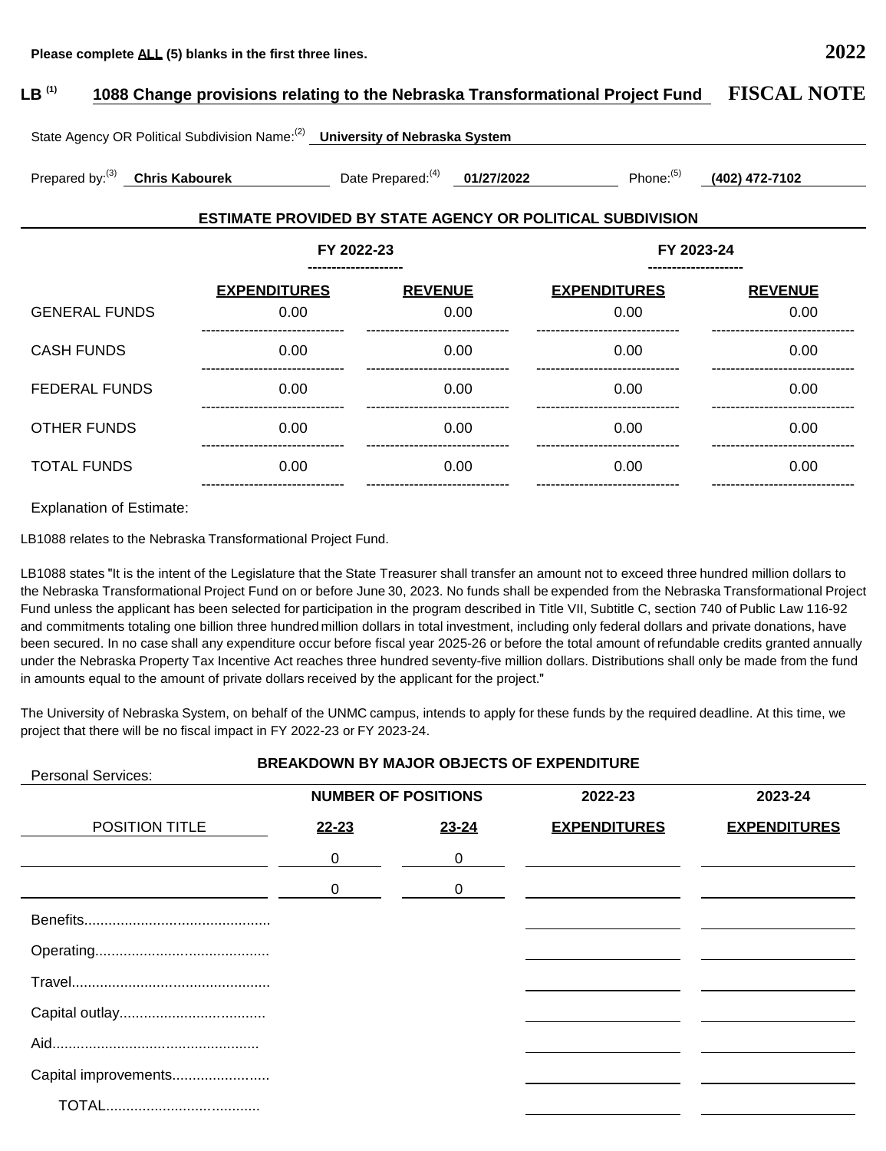## **LB (1) 1088 Change provisions relating to the Nebraska Transformational Project Fund FISCAL NOTE** State Agency OR Political Subdivision Name:(2) **University of Nebraska System** Prepared by:(3) **Chris Kabourek** Date Prepared:(4) **01/27/2022** Phone:(5) **(402) 472-7102**

## **ESTIMATE PROVIDED BY STATE AGENCY OR POLITICAL SUBDIVISION**

|                      | FY 2022-23<br>-------------------- |                                           | FY 2023-24<br>-------------------- |                          |  |
|----------------------|------------------------------------|-------------------------------------------|------------------------------------|--------------------------|--|
| <b>GENERAL FUNDS</b> | <b>EXPENDITURES</b><br>0.00        | <b>REVENUE</b><br>0.00                    | <b>EXPENDITURES</b><br>0.00        | <b>REVENUE</b><br>0.00   |  |
| <b>CASH FUNDS</b>    | 0.00                               | 0.00                                      | 0.00                               | 0.00                     |  |
| <b>FEDERAL FUNDS</b> | 0.00<br>-------------------        | 0.00<br>. _ _ _ _ _ _ _ _ _ _ _ _ _ _ _ _ | 0.00<br>-------------------        | 0.00<br>                 |  |
| <b>OTHER FUNDS</b>   | 0.00                               | 0.00                                      | 0.00                               | 0.00                     |  |
| <b>TOTAL FUNDS</b>   | 0.00                               | 0.00                                      | 0.00                               | 0.00<br>---------------- |  |

Explanation of Estimate:

LB1088 relates to the Nebraska Transformational Project Fund.

LB1088 states "It is the intent of the Legislature that the State Treasurer shall transfer an amount not to exceed three hundred million dollars to the Nebraska Transformational Project Fund on or before June 30, 2023. No funds shall be expended from the Nebraska Transformational Project Fund unless the applicant has been selected for participation in the program described in Title VII, Subtitle C, section 740 of Public Law 116-92 and commitments totaling one billion three hundred million dollars in total investment, including only federal dollars and private donations, have been secured. In no case shall any expenditure occur before fiscal year 2025-26 or before the total amount of refundable credits granted annually under the Nebraska Property Tax Incentive Act reaches three hundred seventy-five million dollars. Distributions shall only be made from the fund in amounts equal to the amount of private dollars received by the applicant for the project."

The University of Nebraska System, on behalf of the UNMC campus, intends to apply for these funds by the required deadline. At this time, we project that there will be no fiscal impact in FY 2022-23 or FY 2023-24.

| <b>BREAKDOWN BY MAJOR OBJECTS OF EXPENDITURE</b><br><b>Personal Services:</b> |              |                            |                     |                     |  |  |
|-------------------------------------------------------------------------------|--------------|----------------------------|---------------------|---------------------|--|--|
|                                                                               |              | <b>NUMBER OF POSITIONS</b> | 2022-23             | 2023-24             |  |  |
| <b>POSITION TITLE</b>                                                         | <u>22-23</u> | 23-24                      | <b>EXPENDITURES</b> | <b>EXPENDITURES</b> |  |  |
|                                                                               | 0            | 0                          |                     |                     |  |  |
|                                                                               | 0            | 0                          |                     |                     |  |  |
|                                                                               |              |                            |                     |                     |  |  |
|                                                                               |              |                            |                     |                     |  |  |
|                                                                               |              |                            |                     |                     |  |  |
|                                                                               |              |                            |                     |                     |  |  |
|                                                                               |              |                            |                     |                     |  |  |
| Capital improvements                                                          |              |                            |                     |                     |  |  |
|                                                                               |              |                            |                     |                     |  |  |